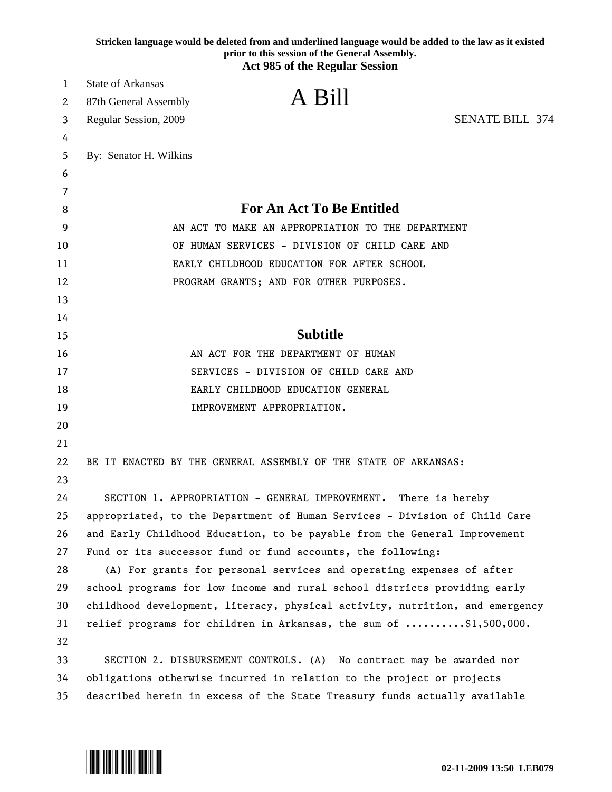|    | Stricken language would be deleted from and underlined language would be added to the law as it existed<br>prior to this session of the General Assembly. |
|----|-----------------------------------------------------------------------------------------------------------------------------------------------------------|
|    | <b>Act 985 of the Regular Session</b>                                                                                                                     |
| 1  | <b>State of Arkansas</b>                                                                                                                                  |
| 2  | A Bill<br>87th General Assembly                                                                                                                           |
| 3  | <b>SENATE BILL 374</b><br>Regular Session, 2009                                                                                                           |
| 4  |                                                                                                                                                           |
| 5  | By: Senator H. Wilkins                                                                                                                                    |
| 6  |                                                                                                                                                           |
| 7  |                                                                                                                                                           |
| 8  | <b>For An Act To Be Entitled</b>                                                                                                                          |
| 9  | AN ACT TO MAKE AN APPROPRIATION TO THE DEPARTMENT                                                                                                         |
| 10 | OF HUMAN SERVICES - DIVISION OF CHILD CARE AND                                                                                                            |
| 11 | EARLY CHILDHOOD EDUCATION FOR AFTER SCHOOL                                                                                                                |
| 12 | PROGRAM GRANTS; AND FOR OTHER PURPOSES.                                                                                                                   |
| 13 |                                                                                                                                                           |
| 14 |                                                                                                                                                           |
| 15 | <b>Subtitle</b>                                                                                                                                           |
| 16 | AN ACT FOR THE DEPARTMENT OF HUMAN                                                                                                                        |
| 17 | SERVICES - DIVISION OF CHILD CARE AND                                                                                                                     |
| 18 | EARLY CHILDHOOD EDUCATION GENERAL                                                                                                                         |
| 19 | IMPROVEMENT APPROPRIATION.                                                                                                                                |
| 20 |                                                                                                                                                           |
| 21 |                                                                                                                                                           |
| 22 | BE IT ENACTED BY THE GENERAL ASSEMBLY OF THE STATE OF ARKANSAS:                                                                                           |
| 23 |                                                                                                                                                           |
| 24 | SECTION 1. APPROPRIATION - GENERAL IMPROVEMENT. There is hereby                                                                                           |
| 25 | appropriated, to the Department of Human Services - Division of Child Care                                                                                |
| 26 | and Early Childhood Education, to be payable from the General Improvement                                                                                 |
| 27 | Fund or its successor fund or fund accounts, the following:                                                                                               |
| 28 | (A) For grants for personal services and operating expenses of after                                                                                      |
| 29 | school programs for low income and rural school districts providing early                                                                                 |
| 30 | childhood development, literacy, physical activity, nutrition, and emergency                                                                              |
| 31 | relief programs for children in Arkansas, the sum of \$1,500,000.                                                                                         |
| 32 |                                                                                                                                                           |
| 33 | SECTION 2. DISBURSEMENT CONTROLS. (A) No contract may be awarded nor                                                                                      |
| 34 | obligations otherwise incurred in relation to the project or projects                                                                                     |
| 35 | described herein in excess of the State Treasury funds actually available                                                                                 |